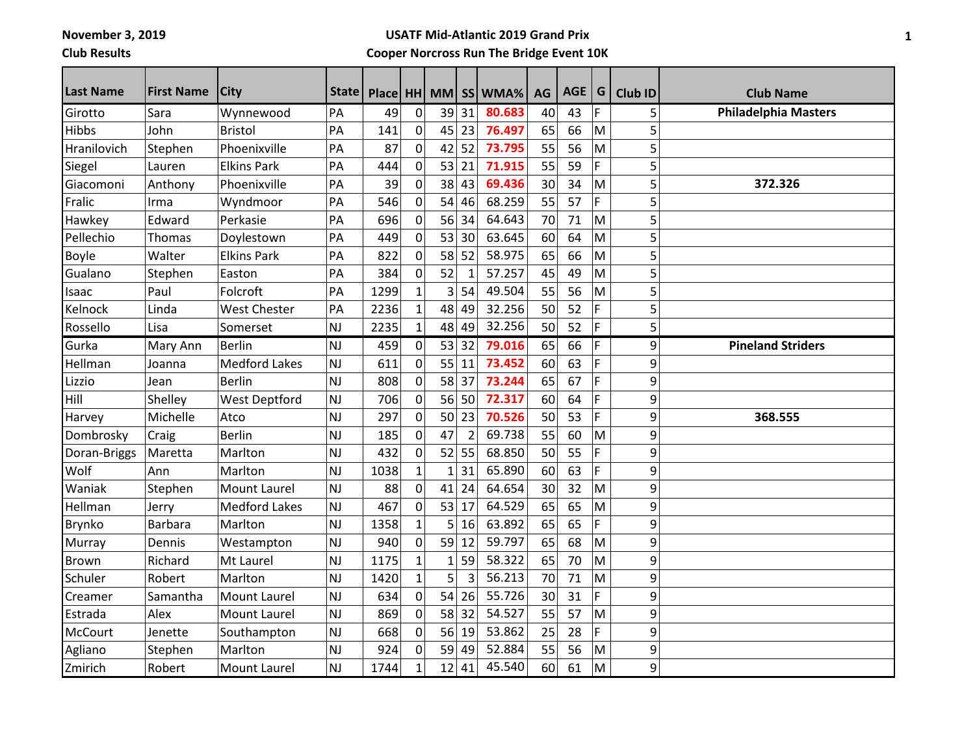**November 3, 2019**

**Club Results**

## **USATF Mid-Atlantic 2019 Grand Prix Cooper Norcross Run The Bridge Event 10K**

| <b>Last Name</b> | <b>First Name</b> | <b>City</b>          | State     | Place HH MM |              |    |                | SS WMA% | AG | AGE   G |    | <b>Club ID</b> | <b>Club Name</b>            |
|------------------|-------------------|----------------------|-----------|-------------|--------------|----|----------------|---------|----|---------|----|----------------|-----------------------------|
| Girotto          | Sara              | Wynnewood            | PA        | 49          | 0            | 39 | 31             | 80.683  | 40 | 43      | F  | 5              | <b>Philadelphia Masters</b> |
| <b>Hibbs</b>     | John              | <b>Bristol</b>       | PA        | 141         | 0            | 45 | 23             | 76.497  | 65 | 66      | M  | 5              |                             |
| Hranilovich      | Stephen           | Phoenixville         | PA        | 87          | 0            | 42 | 52             | 73.795  | 55 | 56      | M  | 5              |                             |
| Siegel           | Lauren            | <b>Elkins Park</b>   | PA        | 444         | 0            | 53 | 21             | 71.915  | 55 | 59      | F  | 5              |                             |
| Giacomoni        | Anthony           | Phoenixville         | PA        | 39          | 0            | 38 | 43             | 69.436  | 30 | 34      | M  | 5              | 372.326                     |
| Fralic           | Irma              | Wyndmoor             | PA        | 546         | 0            | 54 | 46             | 68.259  | 55 | 57      | F. | 5              |                             |
| Hawkey           | Edward            | Perkasie             | PA        | 696         | 0            | 56 | 34             | 64.643  | 70 | 71      | M  | 5              |                             |
| Pellechio        | Thomas            | Doylestown           | PA        | 449         | 0            | 53 | 30             | 63.645  | 60 | 64      | M  | 5              |                             |
| <b>Boyle</b>     | Walter            | <b>Elkins Park</b>   | PA        | 822         | $\mathbf 0$  | 58 | 52             | 58.975  | 65 | 66      | M  | 5              |                             |
| Gualano          | Stephen           | Easton               | PA        | 384         | $\mathbf 0$  | 52 | $\mathbf{1}$   | 57.257  | 45 | 49      | M  | 5              |                             |
| Isaac            | Paul              | Folcroft             | PA        | 1299        | $\mathbf{1}$ | 3  | 54             | 49.504  | 55 | 56      | M  | 5              |                             |
| Kelnock          | Linda             | <b>West Chester</b>  | PA        | 2236        | $\mathbf{1}$ | 48 | 49             | 32.256  | 50 | 52      | F  | 5              |                             |
| Rossello         | Lisa              | Somerset             | <b>NJ</b> | 2235        | $\mathbf{1}$ | 48 | 49             | 32.256  | 50 | 52      | F. | 5              |                             |
| Gurka            | Mary Ann          | <b>Berlin</b>        | NJ        | 459         | $\pmb{0}$    | 53 | 32             | 79.016  | 65 | 66      | F  | 9              | <b>Pineland Striders</b>    |
| Hellman          | Joanna            | <b>Medford Lakes</b> | <b>NJ</b> | 611         | 0            | 55 | 11             | 73.452  | 60 | 63      | F. | 9              |                             |
| Lizzio           | Jean              | <b>Berlin</b>        | NJ        | 808         | 0            | 58 | 37             | 73.244  | 65 | 67      | F. | 9              |                             |
| Hill             | Shelley           | <b>West Deptford</b> | NJ        | 706         | 0            | 56 | 50             | 72.317  | 60 | 64      | F. | 9              |                             |
| Harvey           | Michelle          | Atco                 | <b>NJ</b> | 297         | 0            | 50 | 23             | 70.526  | 50 | 53      | F. | 9              | 368.555                     |
| Dombrosky        | Craig             | <b>Berlin</b>        | NJ        | 185         | $\mathbf 0$  | 47 | $\overline{2}$ | 69.738  | 55 | 60      | M  | 9              |                             |
| Doran-Briggs     | Maretta           | Marlton              | <b>NJ</b> | 432         | $\pmb{0}$    | 52 | 55             | 68.850  | 50 | 55      | F. | 9              |                             |
| Wolf             | Ann               | Marlton              | <b>NJ</b> | 1038        | $\mathbf{1}$ | 1  | 31             | 65.890  | 60 | 63      | F. | 9              |                             |
| Waniak           | Stephen           | <b>Mount Laurel</b>  | <b>NJ</b> | 88          | 0            | 41 | 24             | 64.654  | 30 | 32      | M  | 9              |                             |
| Hellman          | Jerry             | <b>Medford Lakes</b> | <b>NJ</b> | 467         | 0            | 53 | 17             | 64.529  | 65 | 65      | M  | 9              |                             |
| Brynko           | <b>Barbara</b>    | Marlton              | <b>NJ</b> | 1358        | $\mathbf{1}$ | 5  | 16             | 63.892  | 65 | 65      | F  | 9              |                             |
| <b>Murray</b>    | Dennis            | Westampton           | <b>NJ</b> | 940         | $\mathbf 0$  | 59 | 12             | 59.797  | 65 | 68      | M  | 9              |                             |
| <b>Brown</b>     | Richard           | Mt Laurel            | <b>NJ</b> | 1175        | $\mathbf{1}$ | 1  | 59             | 58.322  | 65 | 70      | M  | 9              |                             |
| Schuler          | Robert            | Marlton              | NJ        | 1420        | $\mathbf{1}$ | 5  | $\overline{3}$ | 56.213  | 70 | 71      | M  | 9              |                             |
| Creamer          | Samantha          | <b>Mount Laurel</b>  | <b>NJ</b> | 634         | 0            | 54 | 26             | 55.726  | 30 | 31      | F. | 9              |                             |
| Estrada          | Alex              | Mount Laurel         | NJ        | 869         | 0            | 58 | 32             | 54.527  | 55 | 57      | M  | 9              |                             |
| <b>McCourt</b>   | Jenette           | Southampton          | NJ        | 668         | $\pmb{0}$    | 56 | 19             | 53.862  | 25 | 28      | F  | 9              |                             |
| Agliano          | Stephen           | Marlton              | <b>NJ</b> | 924         | 0            | 59 | 49             | 52.884  | 55 | 56      | M  | 9              |                             |
| Zmirich          | Robert            | Mount Laurel         | NJ        | 1744        | $\mathbf{1}$ | 12 | 41             | 45.540  | 60 | 61      | M  | 9              |                             |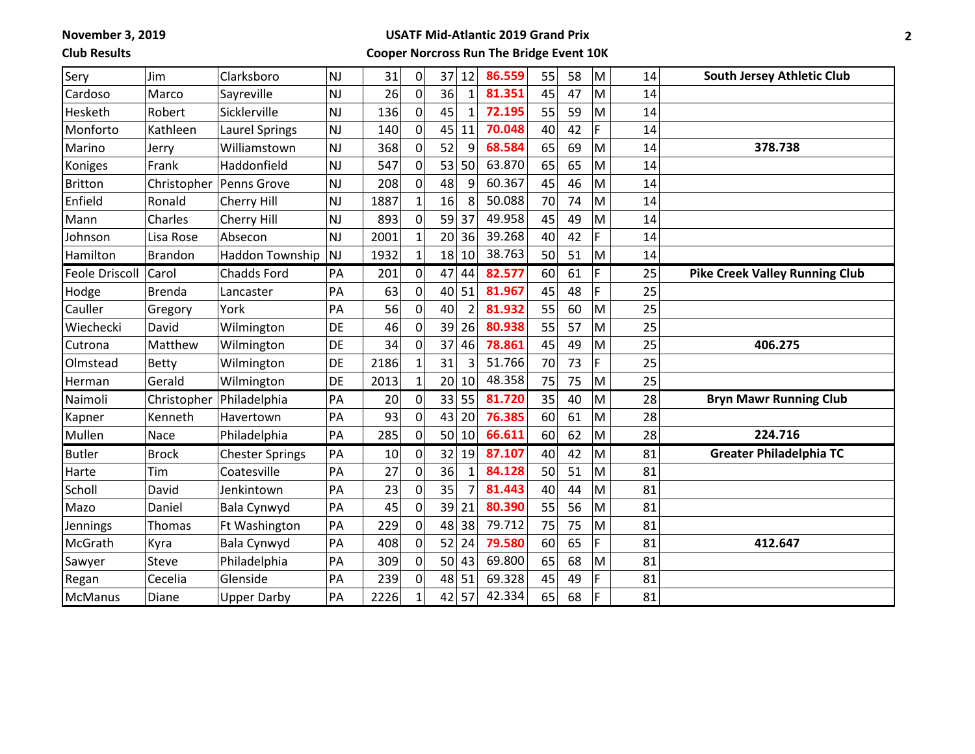**November 3, 2019**

**Club Results**

## **USATF Mid-Atlantic 2019 Grand Prix Cooper Norcross Run The Bridge Event 10K**

| Sery                  | Jim            | Clarksboro             | NJ        | 31   | 0              | 37              | 12              | 86.559 | 55 | 58 | M  | 14 | <b>South Jersey Athletic Club</b>     |
|-----------------------|----------------|------------------------|-----------|------|----------------|-----------------|-----------------|--------|----|----|----|----|---------------------------------------|
| Cardoso               | Marco          | Sayreville             | <b>NJ</b> | 26   | $\overline{0}$ | 36              | $\mathbf{1}$    | 81.351 | 45 | 47 | M  | 14 |                                       |
| Hesketh               | Robert         | Sicklerville           | <b>NJ</b> | 136  | $\mathbf{O}$   | 45              | $\mathbf{1}$    | 72.195 | 55 | 59 | M  | 14 |                                       |
| Monforto              | Kathleen       | <b>Laurel Springs</b>  | <b>NJ</b> | 140  | $\mathbf 0$    | 45              | 11              | 70.048 | 40 | 42 | F. | 14 |                                       |
| Marino                | Jerry          | Williamstown           | NJ        | 368  | 0              | 52              | 9               | 68.584 | 65 | 69 | M  | 14 | 378.738                               |
| Koniges               | Frank          | Haddonfield            | NJ        | 547  | 0              | 53              | 50              | 63.870 | 65 | 65 | M  | 14 |                                       |
| <b>Britton</b>        | Christopher    | Penns Grove            | NJ        | 208  | 0              | 48              | 9               | 60.367 | 45 | 46 | M  | 14 |                                       |
| Enfield               | Ronald         | Cherry Hill            | <b>NJ</b> | 1887 | $\overline{1}$ | 16              | 8               | 50.088 | 70 | 74 | M  | 14 |                                       |
| Mann                  | Charles        | Cherry Hill            | <b>NJ</b> | 893  | 0              | 59              | 37              | 49.958 | 45 | 49 | M  | 14 |                                       |
| Johnson               | Lisa Rose      | Absecon                | <b>NJ</b> | 2001 | $\overline{1}$ | 20              | 36              | 39.268 | 40 | 42 | F  | 14 |                                       |
| Hamilton              | <b>Brandon</b> | <b>Haddon Township</b> | <b>NJ</b> | 1932 | $\overline{1}$ | 18              | 10              | 38.763 | 50 | 51 | M  | 14 |                                       |
| <b>Feole Driscoll</b> | Carol          | <b>Chadds Ford</b>     | PA        | 201  | 0              | 47              | 44              | 82.577 | 60 | 61 | F  | 25 | <b>Pike Creek Valley Running Club</b> |
| Hodge                 | <b>Brenda</b>  | Lancaster              | PA        | 63   | $\mathbf 0$    | 40              | 51              | 81.967 | 45 | 48 | F  | 25 |                                       |
| Cauller               | Gregory        | York                   | PA        | 56   | $\mathbf 0$    | 40              | $\mathfrak{p}$  | 81.932 | 55 | 60 | M  | 25 |                                       |
| Wiechecki             | David          | Wilmington             | DE        | 46   | $\overline{0}$ | 39              | 26              | 80.938 | 55 | 57 | M  | 25 |                                       |
| Cutrona               | Matthew        | Wilmington             | DE        | 34   | $\mathbf 0$    | 37              | 46              | 78.861 | 45 | 49 | M  | 25 | 406.275                               |
| Olmstead              | <b>Betty</b>   | Wilmington             | DE        | 2186 | $\overline{1}$ | 31              | 3               | 51.766 | 70 | 73 | F  | 25 |                                       |
| Herman                | Gerald         | Wilmington             | DE        | 2013 | $\mathbf 1$    | 20              | 10              | 48.358 | 75 | 75 | M  | 25 |                                       |
| Naimoli               | Christopher    | Philadelphia           | PA        | 20   | $\pmb{0}$      | 33              | 55              | 81.720 | 35 | 40 | M  | 28 | <b>Bryn Mawr Running Club</b>         |
| Kapner                | Kenneth        | Havertown              | PA        | 93   | 0              | 43              | 20              | 76.385 | 60 | 61 | M  | 28 |                                       |
| Mullen                | Nace           | Philadelphia           | PA        | 285  | $\mathbf 0$    | 50 <sup>1</sup> | 10 <sup>1</sup> | 66.611 | 60 | 62 | M  | 28 | 224.716                               |
| <b>Butler</b>         | <b>Brock</b>   | <b>Chester Springs</b> | PA        | 10   | $\pmb{0}$      | 32              | 19              | 87.107 | 40 | 42 | M  | 81 | <b>Greater Philadelphia TC</b>        |
| Harte                 | Tim            | Coatesville            | PA        | 27   | $\overline{0}$ | 36              | 1               | 84.128 | 50 | 51 | M  | 81 |                                       |
| Scholl                | David          | Jenkintown             | PA        | 23   | 0              | 35              |                 | 81.443 | 40 | 44 | M  | 81 |                                       |
| Mazo                  | Daniel         | Bala Cynwyd            | PA        | 45   | 0              | 39              | 21              | 80.390 | 55 | 56 | M  | 81 |                                       |
| Jennings              | Thomas         | Ft Washington          | PA        | 229  | $\mathbf 0$    | 48              | 38              | 79.712 | 75 | 75 | M  | 81 |                                       |
| McGrath               | Kyra           | <b>Bala Cynwyd</b>     | PA        | 408  | $\mathbf 0$    | 52              | 24              | 79.580 | 60 | 65 | F. | 81 | 412.647                               |
| Sawyer                | Steve          | Philadelphia           | PA        | 309  | $\overline{0}$ | 50              | 43              | 69.800 | 65 | 68 | M  | 81 |                                       |
| Regan                 | Cecelia        | Glenside               | PA        | 239  | $\mathbf 0$    | 48              | 51              | 69.328 | 45 | 49 | F  | 81 |                                       |
| McManus               | Diane          | <b>Upper Darby</b>     | PA        | 2226 | $\mathbf{1}$   | 42              | 57              | 42.334 | 65 | 68 | F  | 81 |                                       |